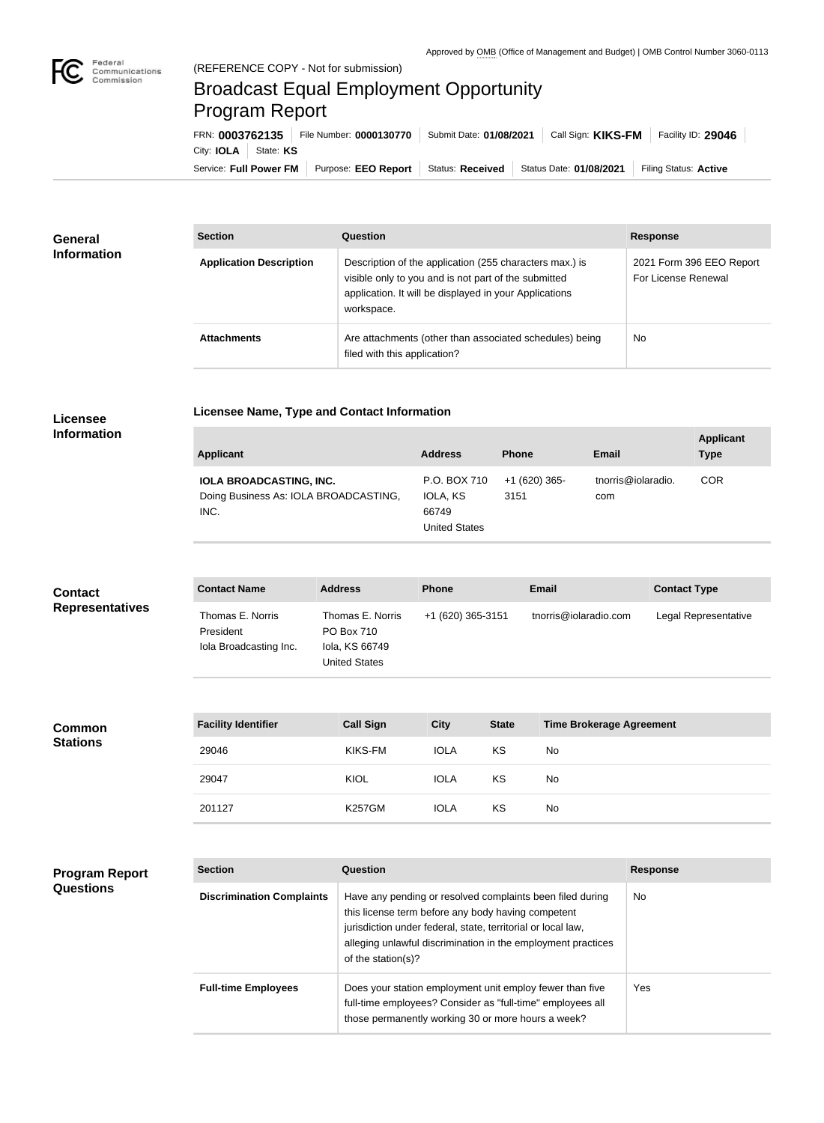

п

## Broadcast Equal Employment Opportunity Program Report

**Licensee Name, Type and Contact Information**

Service: Full Power FM Purpose: EEO Report | Status: Received | Status Date: 01/08/2021 | Filing Status: Active City: **IOLA** State: KS FRN: **0003762135** File Number: **0000130770** Submit Date: **01/08/2021** Call Sign: **KIKS-FM** Facility ID: **29046**

| <b>General</b><br><b>Information</b> | <b>Section</b>                 | Question                                                                                                                                                                                | <b>Response</b>                                 |
|--------------------------------------|--------------------------------|-----------------------------------------------------------------------------------------------------------------------------------------------------------------------------------------|-------------------------------------------------|
|                                      | <b>Application Description</b> | Description of the application (255 characters max.) is<br>visible only to you and is not part of the submitted<br>application. It will be displayed in your Applications<br>workspace. | 2021 Form 396 EEO Report<br>For License Renewal |
|                                      | <b>Attachments</b>             | Are attachments (other than associated schedules) being<br>filed with this application?                                                                                                 | <b>No</b>                                       |

## **Licensee Information**

**Program Report** 

**Questions**

| <b>Applicant</b>                                                                | <b>Address</b>                                            | <b>Phone</b>           | Email                     | <b>Applicant</b><br><b>Type</b> |
|---------------------------------------------------------------------------------|-----------------------------------------------------------|------------------------|---------------------------|---------------------------------|
| <b>IOLA BROADCASTING, INC.</b><br>Doing Business As: IOLA BROADCASTING,<br>INC. | P.O. BOX 710<br>IOLA, KS<br>66749<br><b>United States</b> | $+1(620)$ 365-<br>3151 | tnorris@iolaradio.<br>com | <b>COR</b>                      |

| <b>Contact</b><br><b>Representatives</b> | <b>Contact Name</b>                                     | <b>Address</b>                                                           | <b>Phone</b>      |              | <b>Email</b>                    | <b>Contact Type</b>  |
|------------------------------------------|---------------------------------------------------------|--------------------------------------------------------------------------|-------------------|--------------|---------------------------------|----------------------|
|                                          | Thomas E. Norris<br>President<br>Iola Broadcasting Inc. | Thomas E. Norris<br>PO Box 710<br>Iola, KS 66749<br><b>United States</b> | +1 (620) 365-3151 |              | tnorris@iolaradio.com           | Legal Representative |
|                                          |                                                         |                                                                          |                   |              |                                 |                      |
| <b>Common</b>                            | <b>Facility Identifier</b>                              | <b>Call Sign</b>                                                         | <b>City</b>       | <b>State</b> | <b>Time Brokerage Agreement</b> |                      |
| <b>Stations</b>                          | 29046                                                   | KIKS-FM                                                                  | <b>IOLA</b>       | KS           | No                              |                      |
|                                          | 29047                                                   | <b>KIOL</b>                                                              | <b>IOLA</b>       | KS           | No                              |                      |
|                                          | 201127                                                  | <b>K257GM</b>                                                            | <b>IOLA</b>       | KS           | No                              |                      |
|                                          |                                                         |                                                                          |                   |              |                                 |                      |

| <b>Section</b>                   | Question                                                                                                                                                                                                                                                              | <b>Response</b> |
|----------------------------------|-----------------------------------------------------------------------------------------------------------------------------------------------------------------------------------------------------------------------------------------------------------------------|-----------------|
| <b>Discrimination Complaints</b> | Have any pending or resolved complaints been filed during<br>this license term before any body having competent<br>jurisdiction under federal, state, territorial or local law,<br>alleging unlawful discrimination in the employment practices<br>of the station(s)? | No              |
| <b>Full-time Employees</b>       | Does your station employment unit employ fewer than five<br>full-time employees? Consider as "full-time" employees all<br>those permanently working 30 or more hours a week?                                                                                          | Yes             |